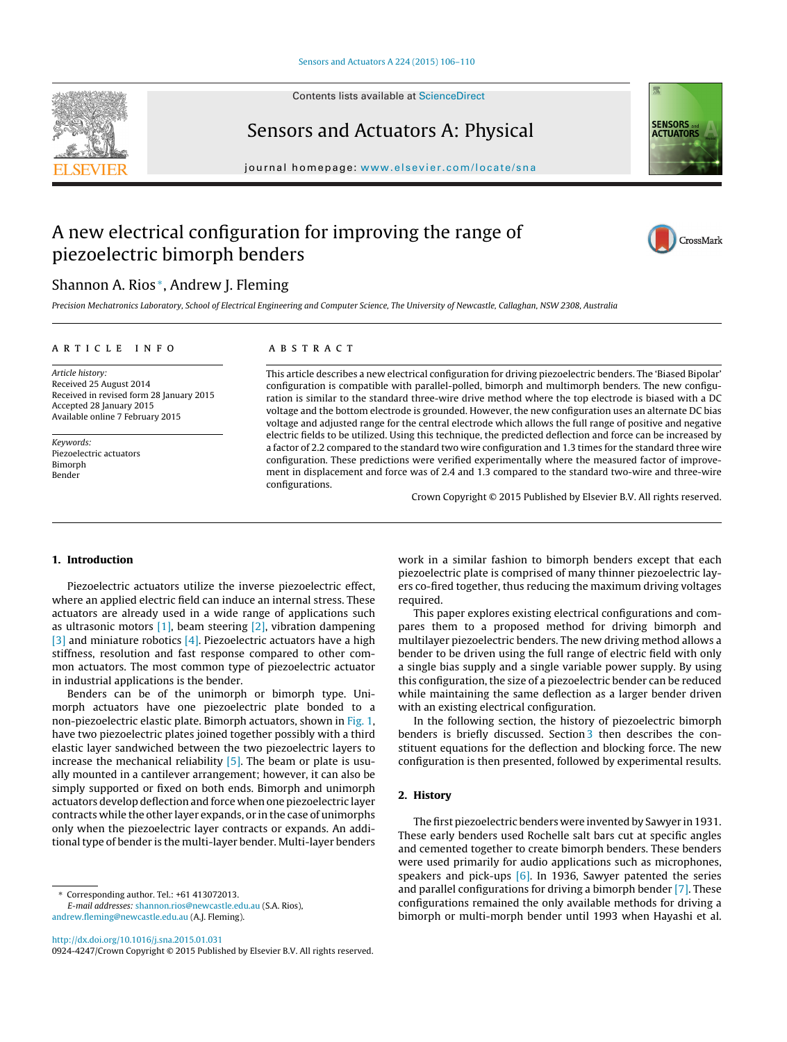



Sensors and Actuators A: Physical



journal homepage: [www.elsevier.com/locate/sna](http://www.elsevier.com/locate/sna)

# A new electrical configuration for improving the range of piezoelectric bimorph benders



## Shannon A. Rios <sup>∗</sup>, Andrew J. Fleming

Precision Mechatronics Laboratory, School of Electrical Engineering and Computer Science, The University of Newcastle, Callaghan, NSW 2308, Australia

## a r t i c l e i n f o

## A B S T R A C T

Article history: Received 25 August 2014 Received in revised form 28 January 2015 Accepted 28 January 2015 Available online 7 February 2015

Keywords: Piezoelectric actuators Bimorph Bender

This article describes a new electrical configuration for driving piezoelectric benders. The 'Biased Bipolar' configuration is compatible with parallel-polled, bimorph and multimorph benders. The new configuration is similar to the standard three-wire drive method where the top electrode is biased with a DC voltage and the bottom electrode is grounded. However, the new configuration uses an alternate DC bias voltage and adjusted range for the central electrode which allows the full range of positive and negative electric fields to be utilized. Using this technique, the predicted deflection and force can be increased by a factor of 2.2 compared to the standard two wire configuration and 1.3 times for the standard three wire configuration. These predictions were verified experimentally where the measured factor of improvement in displacement and force was of 2.4 and 1.3 compared to the standard two-wire and three-wire configurations.

Crown Copyright © 2015 Published by Elsevier B.V. All rights reserved.

## **1. Introduction**

Piezoelectric actuators utilize the inverse piezoelectric effect, where an applied electric field can induce an internal stress. These actuators are already used in a wide range of applications such as ultrasonic motors  $[1]$ , beam steering  $[2]$ , vibration dampening [\[3\]](#page-4-0) and miniature robotics [\[4\].](#page-4-0) Piezoelectric actuators have a high stiffness, resolution and fast response compared to other common actuators. The most common type of piezoelectric actuator in industrial applications is the bender.

Benders can be of the unimorph or bimorph type. Unimorph actuators have one piezoelectric plate bonded to a non-piezoelectric elastic plate. Bimorph actuators, shown in [Fig.](#page-1-0) 1, have two piezoelectric plates joined together possibly with a third elastic layer sandwiched between the two piezoelectric layers to increase the mechanical reliability  $[5]$ . The beam or plate is usually mounted in a cantilever arrangement; however, it can also be simply supported or fixed on both ends. Bimorph and unimorph actuators develop deflection and force when one piezoelectric layer contracts while the other layer expands, or in the case of unimorphs only when the piezoelectric layer contracts or expands. An additional type of bender is the multi-layer bender. Multi-layer benders

∗ Corresponding author. Tel.: +61 413072013.

E-mail addresses: [shannon.rios@newcastle.edu.au](mailto:shannon.rios@newcastle.edu.au) (S.A. Rios), [andrew.fleming@newcastle.edu.au](mailto:andrew.fleming@newcastle.edu.au) (A.J. Fleming).

[http://dx.doi.org/10.1016/j.sna.2015.01.031](dx.doi.org/10.1016/j.sna.2015.01.031) 0924-4247/Crown Copyright © 2015 Published by Elsevier B.V. All rights reserved.

work in a similar fashion to bimorph benders except that each piezoelectric plate is comprised of many thinner piezoelectric layers co-fired together, thus reducing the maximum driving voltages required.

This paper explores existing electrical configurations and compares them to a proposed method for driving bimorph and multilayer piezoelectric benders. The new driving method allows a bender to be driven using the full range of electric field with only a single bias supply and a single variable power supply. By using this configuration, the size of a piezoelectric bender can be reduced while maintaining the same deflection as a larger bender driven with an existing electrical configuration.

In the following section, the history of piezoelectric bimorph benders is briefly discussed. Section [3](#page-1-0) then describes the constituent equations for the deflection and blocking force. The new configuration is then presented, followed by experimental results.

## **2. History**

The first piezoelectric benders were invented by Sawyer in 1931. These early benders used Rochelle salt bars cut at specific angles and cemented together to create bimorph benders. These benders were used primarily for audio applications such as microphones, speakers and pick-ups  $[6]$ . In 1936, Sawyer patented the series and parallel configurations for driving a bimorph bender [\[7\].](#page-4-0) These configurations remained the only available methods for driving a bimorph or multi-morph bender until 1993 when Hayashi et al.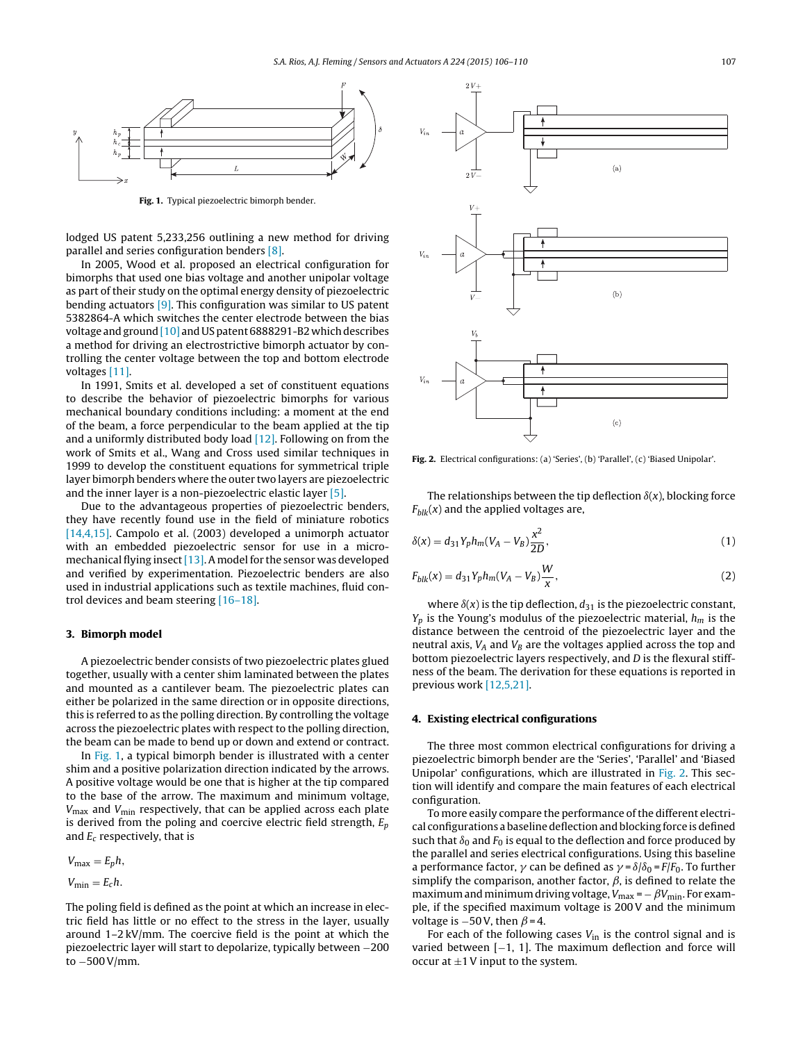<span id="page-1-0"></span>

**Fig. 1.** Typical piezoelectric bimorph bender.

lodged US patent 5,233,256 outlining a new method for driving parallel and series configuration benders [\[8\].](#page-4-0)

In 2005, Wood et al. proposed an electrical configuration for bimorphs that used one bias voltage and another unipolar voltage as part of their study on the optimal energy density of piezoelectric bending actuators [\[9\].](#page-4-0) This configuration was similar to US patent 5382864-A which switches the center electrode between the bias voltage and ground [\[10\]](#page-4-0) and US patent 6888291-B2 which describes a method for driving an electrostrictive bimorph actuator by controlling the center voltage between the top and bottom electrode voltages [\[11\].](#page-4-0)

In 1991, Smits et al. developed a set of constituent equations to describe the behavior of piezoelectric bimorphs for various mechanical boundary conditions including: a moment at the end of the beam, a force perpendicular to the beam applied at the tip and a uniformly distributed body load  $[12]$ . Following on from the work of Smits et al., Wang and Cross used similar techniques in 1999 to develop the constituent equations for symmetrical triple layer bimorph benders where the outer two layers are piezoelectric and the inner layer is a non-piezoelectric elastic layer [\[5\].](#page-4-0)

Due to the advantageous properties of piezoelectric benders, they have recently found use in the field of miniature robotics [\[14,4,15\].](#page-4-0) Campolo et al. (2003) developed a unimorph actuator with an embedded piezoelectric sensor for use in a micromechanical flying insect  $[13]$ . A model for the sensor was developed and verified by experimentation. Piezoelectric benders are also used in industrial applications such as textile machines, fluid control devices and beam steering [\[16–18\].](#page-4-0)

## **3. Bimorph model**

A piezoelectric bender consists of two piezoelectric plates glued together, usually with a center shim laminated between the plates and mounted as a cantilever beam. The piezoelectric plates can either be polarized in the same direction or in opposite directions, this is referred to as the polling direction. By controlling the voltage across the piezoelectric plates with respect to the polling direction, the beam can be made to bend up or down and extend or contract.

In Fig. 1, a typical bimorph bender is illustrated with a center shim and a positive polarization direction indicated by the arrows. A positive voltage would be one that is higher at the tip compared to the base of the arrow. The maximum and minimum voltage,  $V_{\text{max}}$  and  $V_{\text{min}}$  respectively, that can be applied across each plate is derived from the poling and coercive electric field strength,  $E_p$ and  $E_c$  respectively, that is

$$
V_{\text{max}} = E_p h,
$$
  

$$
V_{\text{min}} = E_c h.
$$

The poling field is defined as the point at which an increase in electric field has little or no effect to the stress in the layer, usually around 1–2 kV/mm. The coercive field is the point at which the piezoelectric layer will start to depolarize, typically between −200 to −500V/mm.



**Fig. 2.** Electrical configurations: (a) 'Series', (b) 'Parallel', (c) 'Biased Unipolar'.

The relationships between the tip deflection  $\delta(x)$ , blocking force  $F_{blk}(x)$  and the applied voltages are,

$$
\delta(x) = d_{31} Y_p h_m (V_A - V_B) \frac{x^2}{2D},\tag{1}
$$

$$
F_{blk}(x) = d_{31} Y_p h_m (V_A - V_B) \frac{W}{x},
$$
\n(2)

where  $\delta(x)$  is the tip deflection,  $d_{31}$  is the piezoelectric constant,  $Y_p$  is the Young's modulus of the piezoelectric material,  $h_m$  is the distance between the centroid of the piezoelectric layer and the neutral axis,  $V_A$  and  $V_B$  are the voltages applied across the top and bottom piezoelectric layers respectively, and D is the flexural stiffness of the beam. The derivation for these equations is reported in previous work [\[12,5,21\].](#page-4-0)

## **4. Existing electrical configurations**

The three most common electrical configurations for driving a piezoelectric bimorph bender are the 'Series', 'Parallel' and 'Biased Unipolar' configurations, which are illustrated in Fig. 2. This section will identify and compare the main features of each electrical configuration.

To more easily compare the performance of the different electrical configurations a baseline deflection and blocking force is defined such that  $\delta_0$  and  $F_0$  is equal to the deflection and force produced by the parallel and series electrical configurations. Using this baseline a performance factor,  $\gamma$  can be defined as  $\gamma = \delta/\delta_0 = F/F_0$ . To further simplify the comparison, another factor,  $\beta$ , is defined to relate the maximum and minimum driving voltage,  $V_{\text{max}} = -\beta V_{\text{min}}$ . For example, if the specified maximum voltage is 200V and the minimum voltage is  $-50$  V, then  $\beta$  = 4.

For each of the following cases  $V_{in}$  is the control signal and is varied between [−1, 1]. The maximum deflection and force will occur at  $\pm 1$  V input to the system.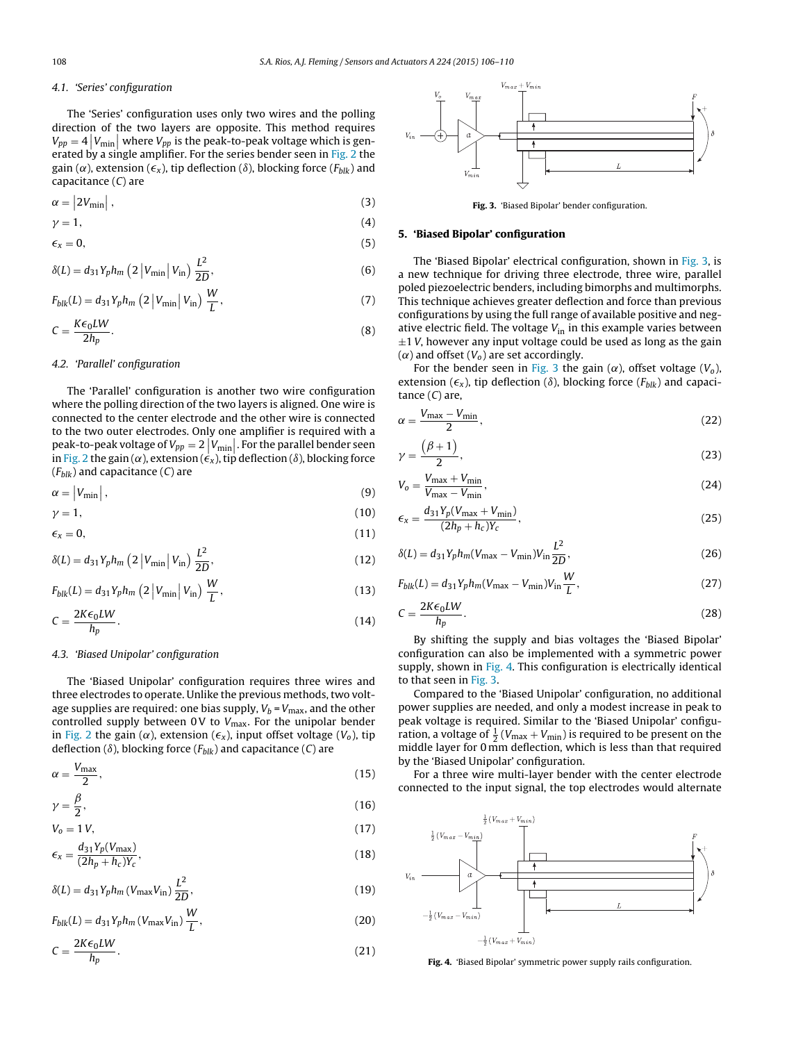## <span id="page-2-0"></span>4.1. 'Series' configuration

The 'Series' configuration uses only two wires and the polling direction of the two layers are opposite. This method requires  $V_{pp} = 4\left|V_{\rm min}\right|$  where  $V_{pp}$  is the peak-to-peak voltage which is gen- $\mathbf{v}_{pp} = -\mathbf{v}_{min}$  where  $\mathbf{v}_{pp}$  is the peak-to-peak voltage which is generated by a single amplifier. For the series bender seen in [Fig.](#page-1-0) 2 the gain ( $\alpha$ ), extension ( $\epsilon_x$ ), tip deflection ( $\delta$ ), blocking force ( $F_{blk}$ ) and capacitance (C) are

$$
\alpha = |2V_{\min}|,\tag{3}
$$

$$
\gamma = 1,\tag{4}
$$

$$
\epsilon_x = 0,\tag{5}
$$

$$
\delta(L) = d_{31} Y_p h_m \left( 2 \left| V_{\min} \right| V_{\infty} \right) \frac{L^2}{2D},\tag{6}
$$

$$
F_{blk}(L) = d_{31} Y_p h_m \left(2 \left|V_{\min}\right| V_{\text{in}}\right) \frac{W}{L},\tag{7}
$$

$$
C = \frac{K\epsilon_0 L W}{2h_p}.\tag{8}
$$

## 4.2. 'Parallel' configuration

The 'Parallel' configuration is another two wire configuration where the polling direction of the two layers is aligned. One wire is connected to the center electrode and the other wire is connected to the two outer electrodes. Only one amplifier is required with a peak-to-peak voltage of  $V_{pp} = 2 |V_{min}|$ . For the parallel bender seen<br>in Fig. 2 the gain ( $\alpha$ ), extension ( $\epsilon$ ), tip deflection ( $\delta$ ), blocking force in [Fig.](#page-1-0) 2 the gain ( $\alpha$ ), extension ( $\epsilon_x$ ), tip deflection ( $\delta$ ), blocking force  $(F_{blk})$  and capacitance  $(C)$  are

$$
\alpha = |V_{\min}|,\tag{9}
$$

$$
\gamma = 1,\tag{10}
$$

$$
\epsilon_x = 0, \tag{11}
$$

$$
\delta(L) = d_{31} Y_p h_m \left( 2 \left| V_{\text{min}} \right| V_{\text{in}} \right) \frac{L^2}{2D},\tag{12}
$$

$$
F_{blk}(L) = d_{31} Y_p h_m \left(2 \left|V_{\min}\right| V_{\text{in}}\right) \frac{W}{L},\tag{13}
$$

$$
C = \frac{2K\epsilon_0 L W}{h_p}.\tag{14}
$$

## 4.3. 'Biased Unipolar' configuration

The 'Biased Unipolar' configuration requires three wires and three electrodes to operate. Unlike the previous methods, two voltage supplies are required: one bias supply,  $V_b = V_{\text{max}}$ , and the other controlled supply between  $0V$  to  $V_{\text{max}}$ . For the unipolar bender in [Fig.](#page-1-0) 2 the gain ( $\alpha$ ), extension ( $\epsilon_x$ ), input offset voltage ( $V_o$ ), tip deflection ( $\delta$ ), blocking force ( $F_{blk}$ ) and capacitance (C) are

$$
\alpha = \frac{V_{\text{max}}}{2},\tag{15}
$$

$$
\gamma = \frac{\beta}{2},\tag{16}
$$

$$
V_o = 1 V, \tag{17}
$$

$$
\epsilon_x = \frac{d_{31}Y_p(V_{\text{max}})}{(2h_p + h_c)Y_c},\tag{18}
$$

$$
\delta(L) = d_{31} Y_p h_m (V_{\text{max}} V_{\text{in}}) \frac{L^2}{2D},
$$
\n(19)

$$
F_{blk}(L) = d_{31} Y_p h_m (V_{\text{max}} V_{\text{in}}) \frac{W}{L},
$$
\n(20)

$$
C = \frac{2K\epsilon_0 L W}{h_p}.\tag{21}
$$



**Fig. 3.** 'Biased Bipolar' bender configuration.

## **5. 'Biased Bipolar' configuration**

The 'Biased Bipolar' electrical configuration, shown in Fig. 3, is a new technique for driving three electrode, three wire, parallel poled piezoelectric benders, including bimorphs and multimorphs. This technique achieves greater deflection and force than previous configurations by using the full range of available positive and negative electric field. The voltage  $V_{\text{in}}$  in this example varies between  $\pm$ 1 V, however any input voltage could be used as long as the gain  $(\alpha)$  and offset  $(V_0)$  are set accordingly.

For the bender seen in Fig. 3 the gain ( $\alpha$ ), offset voltage ( $V_0$ ), extension ( $\epsilon_x$ ), tip deflection ( $\delta$ ), blocking force ( $F_{blk}$ ) and capacitance (C) are,

$$
\alpha = \frac{V_{\text{max}} - V_{\text{min}}}{2},\tag{22}
$$

$$
\gamma = \frac{\left(\beta + 1\right)}{2},\tag{23}
$$

$$
V_o = \frac{V_{\text{max}} + V_{\text{min}}}{V_{\text{max}} - V_{\text{min}}},\tag{24}
$$

$$
\epsilon_{x} = \frac{d_{31}Y_{p}(V_{\text{max}} + V_{\text{min}})}{(2h_{p} + h_{c})Y_{c}},
$$
\n(25)

$$
\delta(L) = d_{31} Y_p h_m (V_{\text{max}} - V_{\text{min}}) V_{\text{in}} \frac{L^2}{2D},\tag{26}
$$

$$
F_{blk}(L) = d_{31} Y_p h_m (V_{\text{max}} - V_{\text{min}}) V_{\text{in}} \frac{W}{L},\tag{27}
$$

$$
C = \frac{2K\epsilon_0 L W}{h_p}.\tag{28}
$$

By shifting the supply and bias voltages the 'Biased Bipolar' configuration can also be implemented with a symmetric power supply, shown in Fig. 4. This configuration is electrically identical to that seen in Fig. 3.

Compared to the 'Biased Unipolar' configuration, no additional power supplies are needed, and only a modest increase in peak to peak voltage is required. Similar to the 'Biased Unipolar' configuration, a voltage of  $\frac{1}{2}(V_{\text{max}}+V_{\text{min}})$  is required to be present on the middle layer for 0 mm deflection, which is less than that required by the 'Biased Unipolar' configuration.

For a three wire multi-layer bender with the center electrode connected to the input signal, the top electrodes would alternate



**Fig. 4.** 'Biased Bipolar' symmetric power supply rails configuration.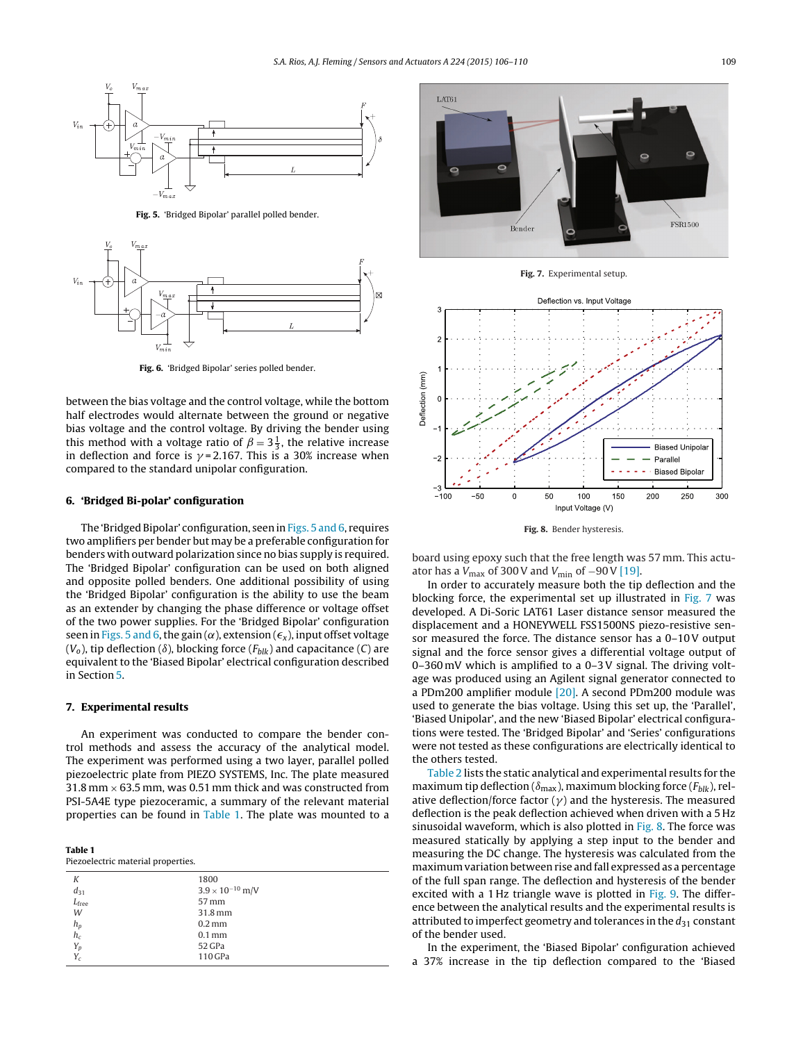

**Fig. 5.** 'Bridged Bipolar' parallel polled bender.



**Fig. 6.** 'Bridged Bipolar' series polled bender.

between the bias voltage and the control voltage, while the bottom half electrodes would alternate between the ground or negative bias voltage and the control voltage. By driving the bender using this method with a voltage ratio of  $\beta = 3\frac{1}{3}$ , the relative increase in deflection and force is  $\gamma$  = 2.167. This is a 30% increase when compared to the standard unipolar configuration.

## **6. 'Bridged Bi-polar' configuration**

The 'Bridged Bipolar' configuration, seen in Figs. 5 and 6, requires two amplifiers per bender but may be a preferable configuration for benders with outward polarization since no bias supply is required. The 'Bridged Bipolar' configuration can be used on both aligned and opposite polled benders. One additional possibility of using the 'Bridged Bipolar' configuration is the ability to use the beam as an extender by changing the phase difference or voltage offset of the two power supplies. For the 'Bridged Bipolar' configuration seen in Figs. 5 and 6, the gain ( $\alpha$ ), extension ( $\epsilon_{\chi}$ ), input offset voltage  $(V_o)$ , tip deflection ( $\delta$ ), blocking force ( $F_{hlk}$ ) and capacitance (C) are equivalent to the 'Biased Bipolar' electrical configuration described in Section [5.](#page-2-0)

#### **7. Experimental results**

An experiment was conducted to compare the bender control methods and assess the accuracy of the analytical model. The experiment was performed using a two layer, parallel polled piezoelectric plate from PIEZO SYSTEMS, Inc. The plate measured 31.8 mm  $\times$  63.5 mm, was 0.51 mm thick and was constructed from PSI-5A4E type piezoceramic, a summary of the relevant material properties can be found in Table 1. The plate was mounted to a

**Table 1**

| К                                              | 1800                      |
|------------------------------------------------|---------------------------|
| $d_{31}$                                       | $3.9 \times 10^{-10}$ m/V |
| $L$ free                                       | 57 mm                     |
| W                                              | 31.8 mm                   |
|                                                | $0.2$ mm                  |
|                                                | $0.1$ mm                  |
| $\begin{array}{c} h_p\\ h_c\\ Y_p \end{array}$ | 52 GPa                    |
| $Y_c$                                          | 110 GPa                   |
|                                                |                           |







**Fig. 8.** Bender hysteresis.

board using epoxy such that the free length was 57 mm. This actuator has a  $V_{\text{max}}$  of 300 V and  $V_{\text{min}}$  of  $-90$  V [\[19\].](#page-4-0)

In order to accurately measure both the tip deflection and the blocking force, the experimental set up illustrated in Fig. 7 was developed. A Di-Soric LAT61 Laser distance sensor measured the displacement and a HONEYWELL FSS1500NS piezo-resistive sensor measured the force. The distance sensor has a 0–10V output signal and the force sensor gives a differential voltage output of 0–360 mV which is amplified to a 0–3V signal. The driving voltage was produced using an Agilent signal generator connected to a PDm200 amplifier module [\[20\].](#page-4-0) A second PDm200 module was used to generate the bias voltage. Using this set up, the 'Parallel', 'Biased Unipolar', and the new 'Biased Bipolar' electrical configurations were tested. The 'Bridged Bipolar' and 'Series' configurations were not tested as these configurations are electrically identical to the others tested.

[Table](#page-4-0) 2 lists the static analytical and experimental results for the maximum tip deflection ( $\delta_{\text{max}}$ ), maximum blocking force ( $F_{blk}$ ), relative deflection/force factor  $(y)$  and the hysteresis. The measured deflection is the peak deflection achieved when driven with a 5 Hz sinusoidal waveform, which is also plotted in Fig. 8. The force was measured statically by applying a step input to the bender and measuring the DC change. The hysteresis was calculated from the maximum variation between rise and fall expressed as a percentage of the full span range. The deflection and hysteresis of the bender excited with a 1 Hz triangle wave is plotted in [Fig.](#page-4-0) 9. The difference between the analytical results and the experimental results is attributed to imperfect geometry and tolerances in the  $d_{31}$  constant of the bender used.

In the experiment, the 'Biased Bipolar' configuration achieved a 37% increase in the tip deflection compared to the 'Biased